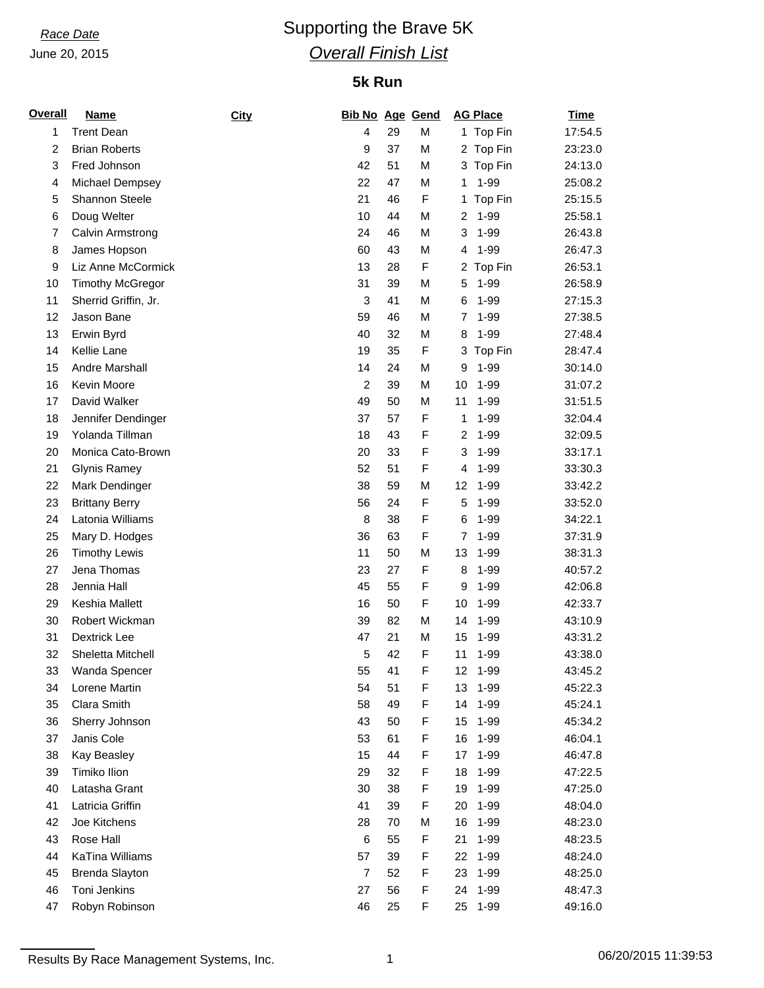June 20, 2015

## *Race Date* Supporting the Brave 5K *Overall Finish List*

## **5k Run**

| <b>Overall</b> | <b>Name</b>             | City | <b>Bib No Age Gend</b> |          |        | <b>AG Place</b>               | <b>Time</b> |
|----------------|-------------------------|------|------------------------|----------|--------|-------------------------------|-------------|
| 1              | <b>Trent Dean</b>       |      | 4                      | 29       | M      | 1 Top Fin                     | 17:54.5     |
| 2              | <b>Brian Roberts</b>    |      | 9                      | 37       | M      | 2 Top Fin                     | 23:23.0     |
| 3              | Fred Johnson            |      | 42                     | 51       | M      | Top Fin<br>3                  | 24:13.0     |
| 4              | Michael Dempsey         |      | 22                     | 47       | M      | 1-99<br>1                     | 25:08.2     |
| 5              | <b>Shannon Steele</b>   |      | 21                     | 46       | F      | Top Fin<br>1                  | 25:15.5     |
| 6              | Doug Welter             |      | 10                     | 44       | M      | 1-99<br>$\overline{c}$        | 25:58.1     |
| $\overline{7}$ | Calvin Armstrong        |      | 24                     | 46       | M      | $1 - 99$<br>3                 | 26:43.8     |
| 8              | James Hopson            |      | 60                     | 43       | M      | 1-99<br>4                     | 26:47.3     |
| 9              | Liz Anne McCormick      |      | 13                     | 28       | F      | 2<br>Top Fin                  | 26:53.1     |
| 10             | <b>Timothy McGregor</b> |      | 31                     | 39       | M      | 1-99<br>5                     | 26:58.9     |
| 11             | Sherrid Griffin, Jr.    |      | 3                      | 41       | M      | $1 - 99$<br>6                 | 27:15.3     |
| 12             | Jason Bane              |      | 59                     | 46       | M      | $1 - 99$<br>7                 | 27:38.5     |
| 13             | Erwin Byrd              |      | 40                     | 32       | M      | $1 - 99$<br>8                 | 27:48.4     |
| 14             | Kellie Lane             |      | 19                     | 35       | F      | Top Fin<br>3                  | 28:47.4     |
| 15             | Andre Marshall          |      | 14                     | 24       | M      | $1 - 99$<br>9                 | 30:14.0     |
| 16             | Kevin Moore             |      | $\overline{c}$         | 39       | M      | $1 - 99$<br>10                | 31:07.2     |
| 17             | David Walker            |      | 49                     | 50       | M      | 11<br>$1 - 99$                | 31:51.5     |
| 18             | Jennifer Dendinger      |      | 37                     | 57       | F      | $1 - 99$<br>1                 | 32:04.4     |
| 19             | Yolanda Tillman         |      | 18                     | 43       | F      | 1-99<br>$\overline{c}$        | 32:09.5     |
| 20             | Monica Cato-Brown       |      | 20                     | 33       | F      | $1 - 99$<br>3                 | 33:17.1     |
| 21             | <b>Glynis Ramey</b>     |      | 52                     | 51       | F      | 1-99<br>4                     | 33:30.3     |
| 22             | Mark Dendinger          |      | 38                     | 59       | M      | 12<br>$1 - 99$                | 33:42.2     |
| 23             | <b>Brittany Berry</b>   |      | 56                     | 24       | F      | 5<br>$1 - 99$                 | 33:52.0     |
| 24             | Latonia Williams        |      | 8                      | 38       | F      | 6<br>$1 - 99$                 | 34:22.1     |
| 25             | Mary D. Hodges          |      | 36                     | 63       | F      | $1 - 99$<br>7                 | 37:31.9     |
| 26             | <b>Timothy Lewis</b>    |      | 11                     | 50       | M      | 13<br>$1 - 99$                | 38:31.3     |
| 27             | Jena Thomas             |      | 23                     | 27       | F      | 1-99<br>8                     | 40:57.2     |
| 28             | Jennia Hall             |      | 45                     | 55       | F      | $1 - 99$<br>9                 | 42:06.8     |
| 29             | Keshia Mallett          |      | 16                     | 50       | F      | 10<br>$1 - 99$                | 42:33.7     |
| 30             | Robert Wickman          |      | 39                     | 82       | M      | 1-99<br>14                    | 43:10.9     |
| 31             | Dextrick Lee            |      | 47                     | 21       | M      | 15<br>$1 - 99$                | 43:31.2     |
| 32             | Sheletta Mitchell       |      | 5                      | 42       | F      | 11<br>$1 - 99$                | 43:38.0     |
| 33             | Wanda Spencer           |      | 55                     | 41       | F      | $12 \overline{ }$<br>$1 - 99$ | 43:45.2     |
| 34             | Lorene Martin           |      | 54                     | 51       | F      | 13<br>$1 - 99$                | 45:22.3     |
| 35             | Clara Smith             |      | 58                     | 49       | F      | $1 - 99$<br>14                | 45:24.1     |
| 36             | Sherry Johnson          |      | 43                     | 50       | F      | 15<br>$1 - 99$                | 45:34.2     |
| 37             | Janis Cole              |      | 53                     | 61       | F      | 16<br>$1 - 99$                | 46:04.1     |
| 38             | Kay Beasley             |      | 15                     | 44       | F      | 17<br>$1 - 99$                | 46:47.8     |
| 39             | Timiko Ilion            |      | 29                     | 32       | F      | 18<br>1-99                    | 47:22.5     |
| 40             | Latasha Grant           |      | 30                     | 38       | F      | $1 - 99$<br>19                | 47:25.0     |
|                | Latricia Griffin        |      | 41                     |          | F      | 1-99                          |             |
| 41             | Joe Kitchens            |      | 28                     | 39<br>70 | M      | 20<br>16<br>1-99              | 48:04.0     |
| 42             |                         |      |                        |          |        |                               | 48:23.0     |
| 43             | Rose Hall               |      | 6                      | 55       | F      | 21<br>1-99                    | 48:23.5     |
| 44             | KaTina Williams         |      | 57                     | 39       | F      | 1-99<br>22                    | 48:24.0     |
| 45             | Brenda Slayton          |      | $\overline{7}$         | 52       | F<br>F | $1 - 99$<br>23                | 48:25.0     |
| 46             | Toni Jenkins            |      | 27                     | 56       |        | 1-99<br>24                    | 48:47.3     |
| 47             | Robyn Robinson          |      | 46                     | 25       | F      | $1 - 99$<br>25                | 49:16.0     |

Results By Race Management Systems, Inc. 1 06/20/2015 11:39:53